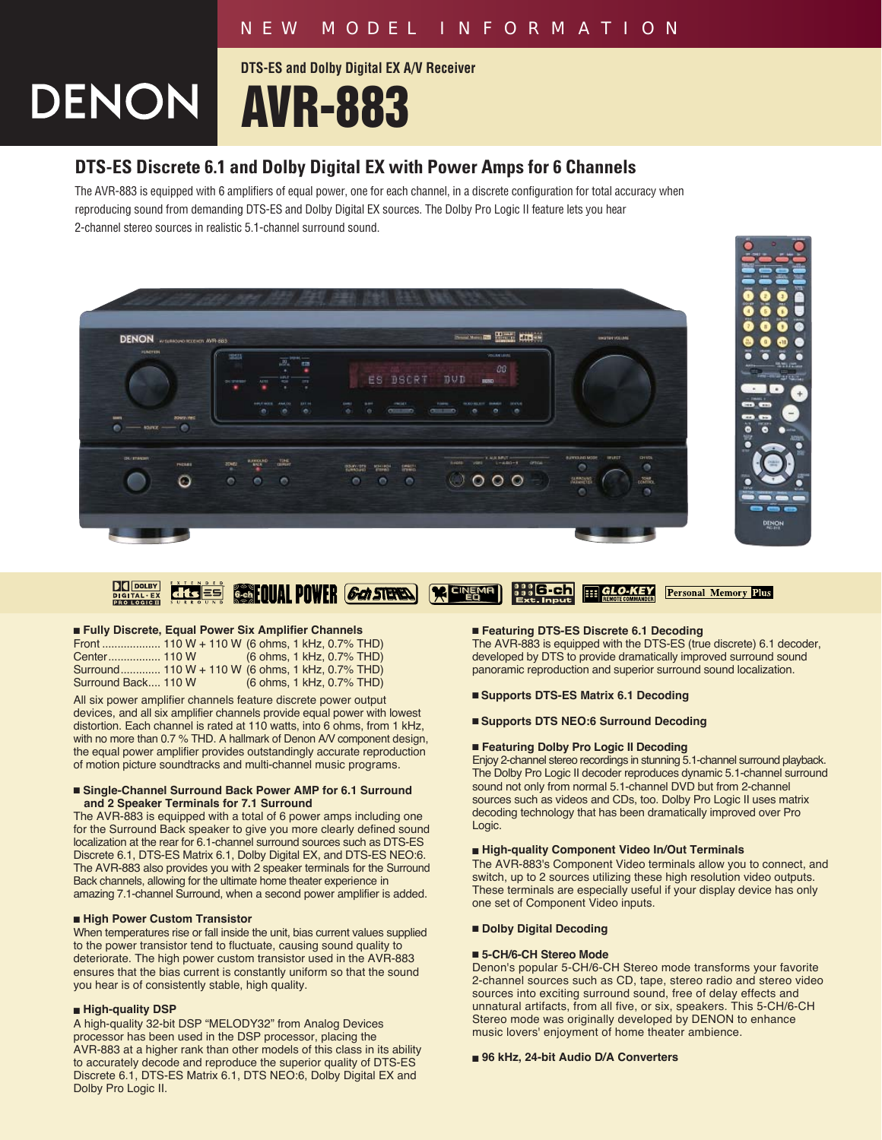### *NEW MODEL INFORMATION*

**DTS-ES and Dolby Digital EX A/V Receiver**

# DENON **AVR-883**

## **DTS-ES Discrete 6.1 and Dolby Digital EX with Power Amps for 6 Channels**

The AVR-883 is equipped with 6 amplifiers of equal power, one for each channel, in a discrete configuration for total accuracy when reproducing sound from demanding DTS-ES and Dolby Digital EX sources. The Dolby Pro Logic II feature lets you hear 2-channel stereo sources in realistic 5.1-channel surround sound.





#### $\prod$  DI $\prod$  DOLBY **GenEQUAL POWER Gen STERES REMEME <u> 22 6-ch</u>**  $dfs =$  $\left|\mathbf{m}\right|$  GLO-KEY **Personal Memory Plus** DIGITAL EX

#### ■ **Fully Discrete, Equal Power Six Amplifier Channels**

|                     | Front  110 W + 110 W (6 ohms, 1 kHz, 0.7% THD)   |
|---------------------|--------------------------------------------------|
| Center 110 W        | (6 ohms, 1 kHz, 0.7% THD)                        |
|                     | Surround 110 W + 110 W (6 ohms, 1 kHz, 0.7% THD) |
| Surround Back 110 W | (6 ohms, 1 kHz, 0.7% THD)                        |
|                     |                                                  |

All six power amplifier channels feature discrete power output devices, and all six amplifier channels provide equal power with lowest distortion. Each channel is rated at 110 watts, into 6 ohms, from 1 kHz, with no more than 0.7 % THD. A hallmark of Denon AV component design, the equal power amplifier provides outstandingly accurate reproduction of motion picture soundtracks and multi-channel music programs.

#### ■ Single-Channel Surround Back Power AMP for 6.1 Surround **and 2 Speaker Terminals for 7.1 Surround**

The AVR-883 is equipped with a total of 6 power amps including one for the Surround Back speaker to give you more clearly defined sound localization at the rear for 6.1-channel surround sources such as DTS-ES Discrete 6.1, DTS-ES Matrix 6.1, Dolby Digital EX, and DTS-ES NEO:6. The AVR-883 also provides you with 2 speaker terminals for the Surround Back channels, allowing for the ultimate home theater experience in amazing 7.1-channel Surround, when a second power amplifier is added.

#### ■ **High Power Custom Transistor**

When temperatures rise or fall inside the unit, bias current values supplied to the power transistor tend to fluctuate, causing sound quality to deteriorate. The high power custom transistor used in the AVR-883 ensures that the bias current is constantly uniform so that the sound you hear is of consistently stable, high quality.

#### ■ **High-quality DSP**

A high-quality 32-bit DSP "MELODY32" from Analog Devices processor has been used in the DSP processor, placing the AVR-883 at a higher rank than other models of this class in its ability to accurately decode and reproduce the superior quality of DTS-ES Discrete 6.1, DTS-ES Matrix 6.1, DTS NEO:6, Dolby Digital EX and Dolby Pro Logic II.

#### ■ **Featuring DTS-ES Discrete 6.1 Decoding**

The AVR-883 is equipped with the DTS-ES (true discrete) 6.1 decoder, developed by DTS to provide dramatically improved surround sound panoramic reproduction and superior surround sound localization.

■ **Supports DTS-ES Matrix 6.1 Decoding** 

#### ■ **Supports DTS NEO:6 Surround Decoding**

#### ■ **Featuring Dolby Pro Logic II Decoding**

Enjoy 2-channel stereo recordings in stunning 5.1-channel surround playback. The Dolby Pro Logic II decoder reproduces dynamic 5.1-channel surround sound not only from normal 5.1-channel DVD but from 2-channel sources such as videos and CDs, too. Dolby Pro Logic II uses matrix decoding technology that has been dramatically improved over Pro Logic.

#### ■ **High-quality Component Video In/Out Terminals**

The AVR-883's Component Video terminals allow you to connect, and switch, up to 2 sources utilizing these high resolution video outputs. These terminals are especially useful if your display device has only one set of Component Video inputs.

#### ■ **Dolby Digital Decoding**

#### ■ **5-CH/6-CH Stereo Mode**

Denon's popular 5-CH/6-CH Stereo mode transforms your favorite 2-channel sources such as CD, tape, stereo radio and stereo video sources into exciting surround sound, free of delay effects and unnatural artifacts, from all five, or six, speakers. This 5-CH/6-CH Stereo mode was originally developed by DENON to enhance music lovers' enjoyment of home theater ambience.

#### ■ **96 kHz, 24-bit Audio D/A Converters**